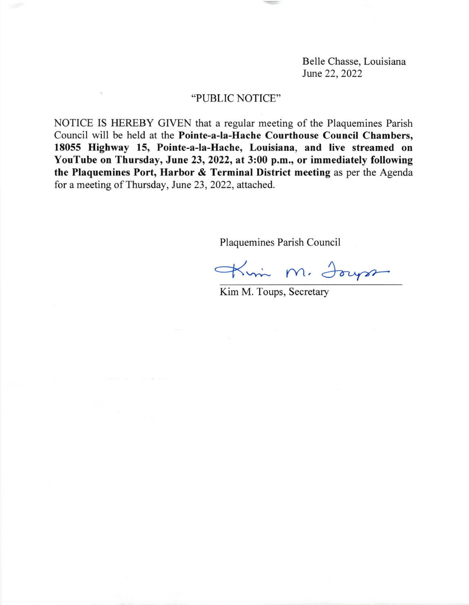Belle Chasse, Louisiana June 22, 2022

## "PUBLIC NOTICE"

NOTICE IS HEREBY GIVEN that a regular meeting of the Plaquemines Parish Council will be held at the Pointe-a-la-Hache Courthouse Council Chambers, 18055 Highway 15, Pointe-a-la-Hache, Louisiana, and live streamed on YouTube on Thursday, June 23, 2022, at 3:00 p.m., or immediately following the Plaquemines Port, Harbor & Terminal District meeting as per the Agenda for a meeting of Thursday, June 23, 2022, attached.

Plaquemines Parish Council

Kim M. Jours

Kim M. Toups, Secretary